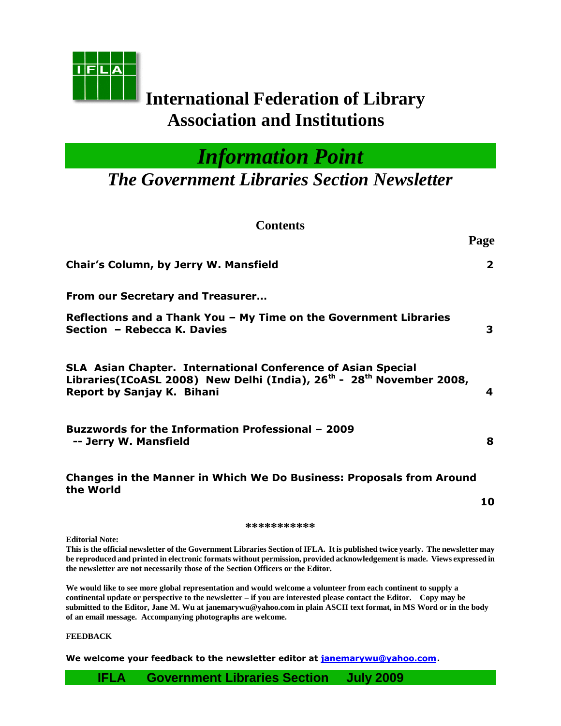

# **International Federation of Library Association and Institutions**

*Information Point*

*The Government Libraries Section Newsletter*

**Contents**

|                                                                                                                                                                                                          | Page                    |
|----------------------------------------------------------------------------------------------------------------------------------------------------------------------------------------------------------|-------------------------|
| Chair's Column, by Jerry W. Mansfield                                                                                                                                                                    | $\overline{\mathbf{2}}$ |
| From our Secretary and Treasurer                                                                                                                                                                         |                         |
| Reflections and a Thank You - My Time on the Government Libraries<br>Section - Rebecca K. Davies                                                                                                         | 3                       |
| <b>SLA Asian Chapter. International Conference of Asian Special</b><br>Libraries(ICoASL 2008) New Delhi (India), 26 <sup>th</sup> - 28 <sup>th</sup> November 2008,<br><b>Report by Sanjay K. Bihani</b> | 4                       |
| <b>Buzzwords for the Information Professional - 2009</b><br>-- Jerry W. Mansfield                                                                                                                        | 8                       |
| <b>Changes in the Manner in Which We Do Business: Proposals from Around</b><br>the World                                                                                                                 | 10                      |
| ***********                                                                                                                                                                                              |                         |
|                                                                                                                                                                                                          |                         |

**Editorial Note:**

**This is the official newsletter of the Government Libraries Section of IFLA. It is published twice yearly. The newsletter may be reproduced and printed in electronic formats without permission, provided acknowledgement is made. Views expressed in the newsletter are not necessarily those of the Section Officers or the Editor.**

**We would like to see more global representation and would welcome a volunteer from each continent to supply a continental update or perspective to the newsletter – if you are interested please contact the Editor. Copy may be submitted to the Editor, Jane M. Wu at janemarywu@yahoo.com in plain ASCII text format, in MS Word or in the body of an email message. Accompanying photographs are welcome.**

**FEEDBACK**

**We welcome your feedback to the newsletter editor at [janemarywu@yahoo.com](mailto:janemarywu@yahoo.com)**.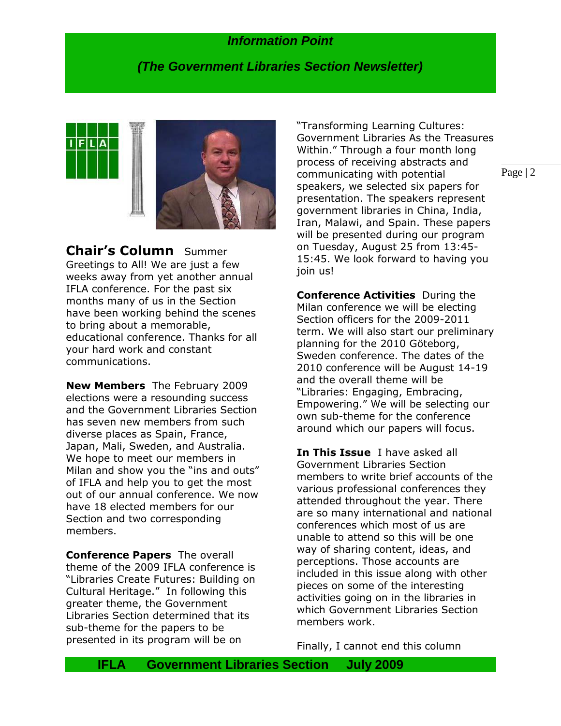## *(The Government Libraries Section Newsletter)*



**Chair's Column** Summer Greetings to All! We are just a few weeks away from yet another annual IFLA conference. For the past six months many of us in the Section have been working behind the scenes to bring about a memorable, educational conference. Thanks for all your hard work and constant communications.

**New Members** The February 2009 elections were a resounding success and the Government Libraries Section has seven new members from such diverse places as Spain, France, Japan, Mali, Sweden, and Australia. We hope to meet our members in Milan and show you the "ins and outs" of IFLA and help you to get the most out of our annual conference. We now have 18 elected members for our Section and two corresponding members.

**Conference Papers** The overall theme of the 2009 IFLA conference is "Libraries Create Futures: Building on Cultural Heritage." In following this greater theme, the Government Libraries Section determined that its sub-theme for the papers to be presented in its program will be on

"Transforming Learning Cultures: Government Libraries As the Treasures Within." Through a four month long process of receiving abstracts and communicating with potential speakers, we selected six papers for presentation. The speakers represent government libraries in China, India, Iran, Malawi, and Spain. These papers will be presented during our program on Tuesday, August 25 from 13:45- 15:45. We look forward to having you join us!

**Conference Activities** During the Milan conference we will be electing Section officers for the 2009-2011 term. We will also start our preliminary planning for the 2010 Göteborg, Sweden conference. The dates of the 2010 conference will be August 14-19 and the overall theme will be "Libraries: Engaging, Embracing, Empowering." We will be selecting our own sub-theme for the conference around which our papers will focus.

**In This Issue** I have asked all Government Libraries Section members to write brief accounts of the various professional conferences they attended throughout the year. There are so many international and national conferences which most of us are unable to attend so this will be one way of sharing content, ideas, and perceptions. Those accounts are included in this issue along with other pieces on some of the interesting activities going on in the libraries in which Government Libraries Section members work.

Finally, I cannot end this column

Page | 2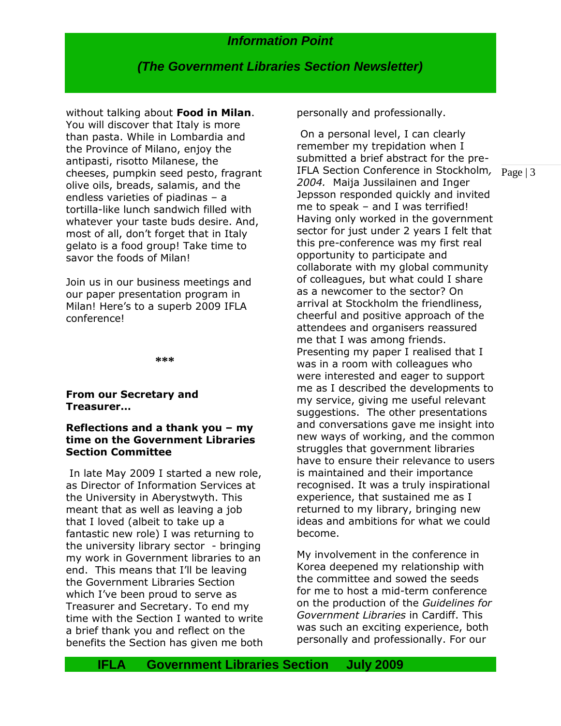## *(The Government Libraries Section Newsletter)*

without talking about **Food in Milan**. You will discover that Italy is more than pasta. While in Lombardia and the Province of Milano, enjoy the antipasti, risotto Milanese, the cheeses, pumpkin seed pesto, fragrant olive oils, breads, salamis, and the endless varieties of piadinas – a tortilla-like lunch sandwich filled with whatever your taste buds desire. And, most of all, don"t forget that in Italy gelato is a food group! Take time to savor the foods of Milan!

Join us in our business meetings and our paper presentation program in Milan! Here's to a superb 2009 IFLA conference!

**\*\*\***

#### **From our Secretary and Treasurer…**

#### **Reflections and a thank you – my time on the Government Libraries Section Committee**

In late May 2009 I started a new role, as Director of Information Services at the University in Aberystwyth. This meant that as well as leaving a job that I loved (albeit to take up a fantastic new role) I was returning to the university library sector - bringing my work in Government libraries to an end. This means that I"ll be leaving the Government Libraries Section which I've been proud to serve as Treasurer and Secretary. To end my time with the Section I wanted to write a brief thank you and reflect on the benefits the Section has given me both personally and professionally.

Page | 3 IFLA Section Conference in Stockholm*,*  On a personal level, I can clearly remember my trepidation when I submitted a brief abstract for the pre-*2004.* Maija Jussilainen and Inger Jepsson responded quickly and invited me to speak – and I was terrified! Having only worked in the government sector for just under 2 years I felt that this pre-conference was my first real opportunity to participate and collaborate with my global community of colleagues, but what could I share as a newcomer to the sector? On arrival at Stockholm the friendliness, cheerful and positive approach of the attendees and organisers reassured me that I was among friends. Presenting my paper I realised that I was in a room with colleagues who were interested and eager to support me as I described the developments to my service, giving me useful relevant suggestions. The other presentations and conversations gave me insight into new ways of working, and the common struggles that government libraries have to ensure their relevance to users is maintained and their importance recognised. It was a truly inspirational experience, that sustained me as I returned to my library, bringing new ideas and ambitions for what we could become.

My involvement in the conference in Korea deepened my relationship with the committee and sowed the seeds for me to host a mid-term conference on the production of the *Guidelines for Government Libraries* in Cardiff. This was such an exciting experience, both personally and professionally. For our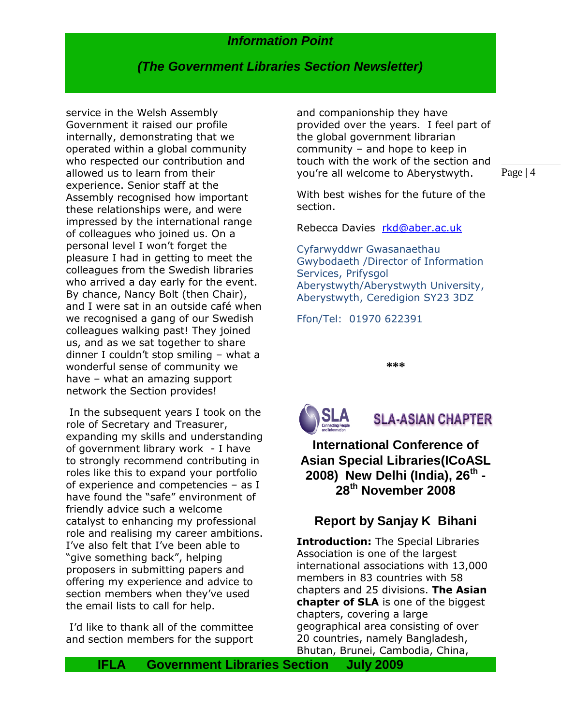## *(The Government Libraries Section Newsletter)*

service in the Welsh Assembly Government it raised our profile internally, demonstrating that we operated within a global community who respected our contribution and allowed us to learn from their experience. Senior staff at the Assembly recognised how important these relationships were, and were impressed by the international range of colleagues who joined us. On a personal level I won"t forget the pleasure I had in getting to meet the colleagues from the Swedish libraries who arrived a day early for the event. By chance, Nancy Bolt (then Chair), and I were sat in an outside café when we recognised a gang of our Swedish colleagues walking past! They joined us, and as we sat together to share dinner I couldn"t stop smiling – what a wonderful sense of community we have – what an amazing support network the Section provides!

In the subsequent years I took on the role of Secretary and Treasurer, expanding my skills and understanding of government library work - I have to strongly recommend contributing in roles like this to expand your portfolio of experience and competencies – as I have found the "safe" environment of friendly advice such a welcome catalyst to enhancing my professional role and realising my career ambitions. I"ve also felt that I"ve been able to "give something back", helping proposers in submitting papers and offering my experience and advice to section members when they've used the email lists to call for help.

I"d like to thank all of the committee and section members for the support

and companionship they have provided over the years. I feel part of the global government librarian community – and hope to keep in touch with the work of the section and you"re all welcome to Aberystwyth.

Page | 4

With best wishes for the future of the section.

Rebecca Davies [rkd@aber.ac.uk](mailto:rkd@aber.ac.uk)

Cyfarwyddwr Gwasanaethau Gwybodaeth /Director of Information Services, Prifysgol Aberystwyth/Aberystwyth University, Aberystwyth, Ceredigion SY23 3DZ

Ffon/Tel: 01970 622391

**\*\*\***



**SLA-ASIAN CHAPTER** 

**International Conference of Asian Special Libraries(ICoASL 2008) New Delhi (India), 26th - 28th November 2008**

## **Report by Sanjay K Bihani**

**Introduction:** The Special Libraries Association is one of the largest international associations with 13,000 members in 83 countries with 58 chapters and 25 divisions. **The Asian chapter of SLA** is one of the biggest chapters, covering a large geographical area consisting of over 20 countries, namely Bangladesh, Bhutan, Brunei, Cambodia, China,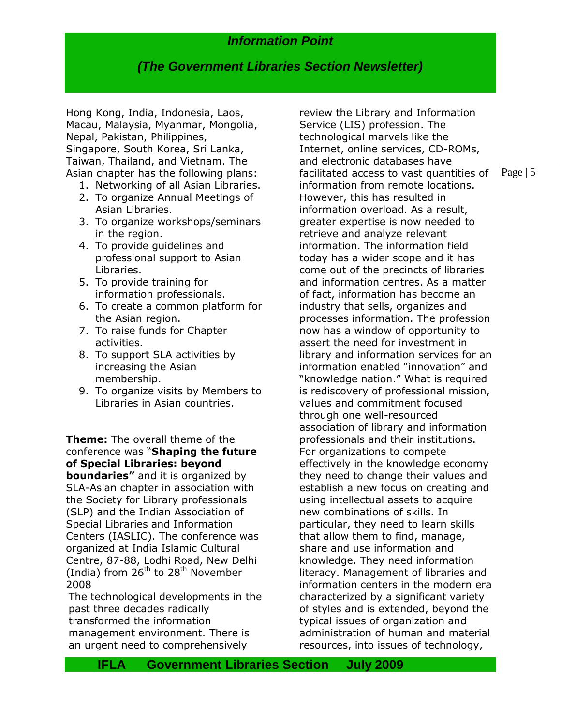## *(The Government Libraries Section Newsletter)*

Hong Kong, India, Indonesia, Laos, Macau, Malaysia, Myanmar, Mongolia, Nepal, Pakistan, Philippines, Singapore, South Korea, Sri Lanka, Taiwan, Thailand, and Vietnam. The Asian chapter has the following plans:

- 1. Networking of all Asian Libraries.
- 2. To organize Annual Meetings of Asian Libraries.
- 3. To organize workshops/seminars in the region.
- 4. To provide guidelines and professional support to Asian Libraries.
- 5. To provide training for information professionals.
- 6. To create a common platform for the Asian region.
- 7. To raise funds for Chapter activities.
- 8. To support SLA activities by increasing the Asian membership.
- 9. To organize visits by Members to Libraries in Asian countries.

#### **Theme:** The overall theme of the conference was "**Shaping the future of Special Libraries: beyond**

**boundaries"** and it is organized by SLA-Asian chapter in association with the Society for Library professionals (SLP) and the Indian Association of Special Libraries and Information Centers (IASLIC). The conference was organized at India Islamic Cultural Centre, 87-88, Lodhi Road, New Delhi (India) from  $26^{th}$  to  $28^{th}$  November 2008

The technological developments in the past three decades radically transformed the information management environment. There is an urgent need to comprehensively

review the Library and Information Service (LIS) profession. The technological marvels like the Internet, online services, CD-ROMs, and electronic databases have facilitated access to vast quantities of information from remote locations. However, this has resulted in information overload. As a result, greater expertise is now needed to retrieve and analyze relevant information. The information field today has a wider scope and it has come out of the precincts of libraries and information centres. As a matter of fact, information has become an industry that sells, organizes and processes information. The profession now has a window of opportunity to assert the need for investment in library and information services for an information enabled "innovation" and "knowledge nation." What is required is rediscovery of professional mission, values and commitment focused through one well-resourced association of library and information professionals and their institutions. For organizations to compete effectively in the knowledge economy they need to change their values and establish a new focus on creating and using intellectual assets to acquire new combinations of skills. In particular, they need to learn skills that allow them to find, manage, share and use information and knowledge. They need information literacy. Management of libraries and information centers in the modern era characterized by a significant variety of styles and is extended, beyond the typical issues of organization and administration of human and material resources, into issues of technology,

Page | 5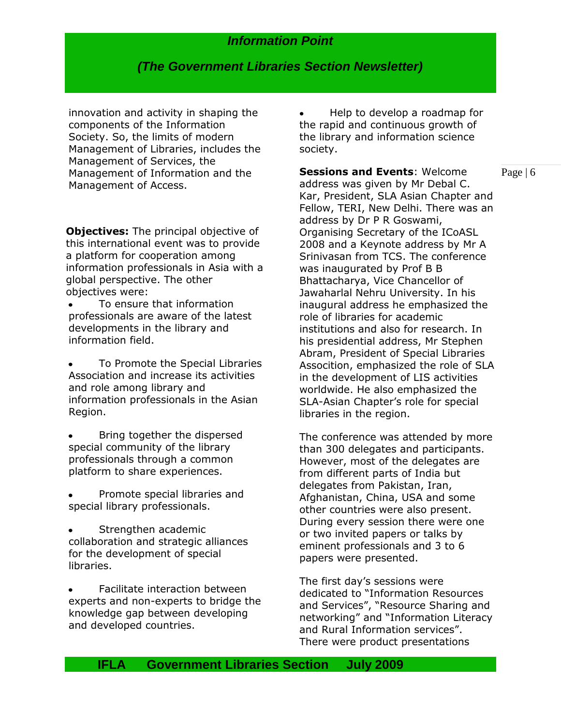## *(The Government Libraries Section Newsletter)*

innovation and activity in shaping the components of the Information Society. So, the limits of modern Management of Libraries, includes the Management of Services, the Management of Information and the Management of Access.

**Objectives:** The principal objective of this international event was to provide a platform for cooperation among information professionals in Asia with a global perspective. The other objectives were:

To ensure that information professionals are aware of the latest developments in the library and information field.

To Promote the Special Libraries Association and increase its activities and role among library and information professionals in the Asian Region.

- Bring together the dispersed special community of the library professionals through a common platform to share experiences.
- Promote special libraries and special library professionals.
- Strengthen academic collaboration and strategic alliances for the development of special libraries.

Facilitate interaction between experts and non-experts to bridge the knowledge gap between developing and developed countries.

Help to develop a roadmap for the rapid and continuous growth of the library and information science society.

Page | 6 **Sessions and Events**: Welcome address was given by Mr Debal C. Kar, President, SLA Asian Chapter and Fellow, TERI, New Delhi. There was an address by Dr P R Goswami, Organising Secretary of the ICoASL 2008 and a Keynote address by Mr A Srinivasan from TCS. The conference was inaugurated by Prof B B Bhattacharya, Vice Chancellor of Jawaharlal Nehru University. In his inaugural address he emphasized the role of libraries for academic institutions and also for research. In his presidential address, Mr Stephen Abram, President of Special Libraries Assocition, emphasized the role of SLA in the development of LIS activities worldwide. He also emphasized the SLA-Asian Chapter's role for special libraries in the region.

The conference was attended by more than 300 delegates and participants. However, most of the delegates are from different parts of India but delegates from Pakistan, Iran, Afghanistan, China, USA and some other countries were also present. During every session there were one or two invited papers or talks by eminent professionals and 3 to 6 papers were presented.

The first day"s sessions were dedicated to "Information Resources and Services", "Resource Sharing and networking" and "Information Literacy and Rural Information services". There were product presentations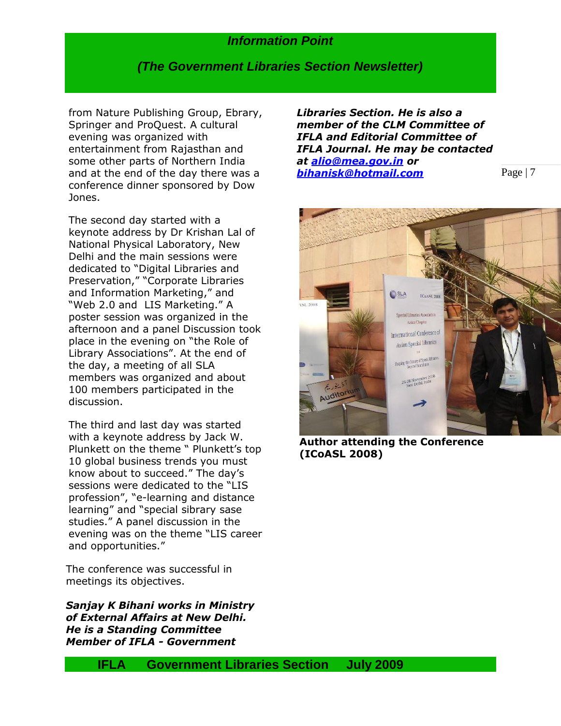#### *(The Government Libraries Section Newsletter)*

from Nature Publishing Group, Ebrary, Springer and ProQuest. A cultural evening was organized with entertainment from Rajasthan and some other parts of Northern India and at the end of the day there was a conference dinner sponsored by Dow Jones.

The second day started with a keynote address by Dr Krishan Lal of National Physical Laboratory, New Delhi and the main sessions were dedicated to "Digital Libraries and Preservation," "Corporate Libraries and Information Marketing," and "Web 2.0 and LIS Marketing." A poster session was organized in the afternoon and a panel Discussion took place in the evening on "the Role of Library Associations". At the end of the day, a meeting of all SLA members was organized and about 100 members participated in the discussion.

The third and last day was started with a keynote address by Jack W. Plunkett on the theme " Plunkett's top 10 global business trends you must know about to succeed." The day"s sessions were dedicated to the "LIS profession", "e-learning and distance learning" and "special sibrary sase studies." A panel discussion in the evening was on the theme "LIS career and opportunities."

The conference was successful in meetings its objectives.

*Sanjay K Bihani works in Ministry of External Affairs at New Delhi. He is a Standing Committee Member of IFLA - Government* 

*Libraries Section. He is also a member of the CLM Committee of IFLA and Editorial Committee of IFLA Journal. He may be contacted at [alio@mea.gov.in](mailto:alio@mea.gov.in) or [bihanisk@hotmail.com](mailto:bihanisk@hotmail.com)*



Page | 7

**Author attending the Conference (ICoASL 2008)**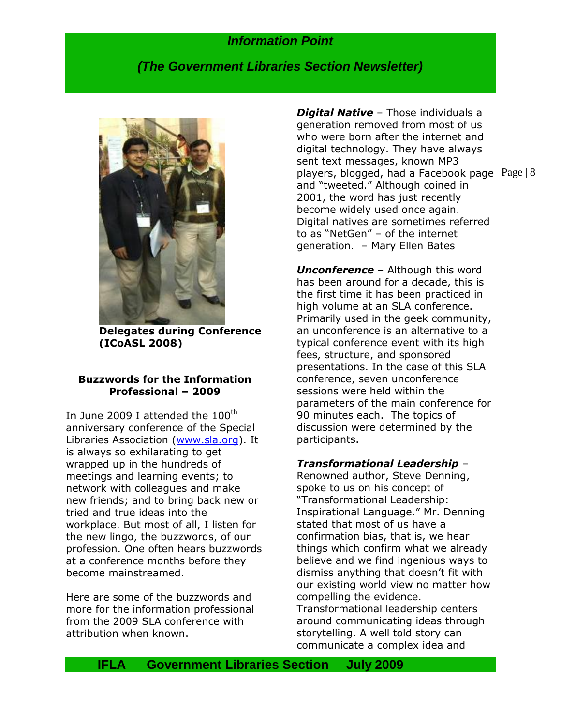## *(The Government Libraries Section Newsletter)*



**Delegates during Conference (ICoASL 2008)**

#### **Buzzwords for the Information Professional – 2009**

In June 2009 I attended the  $100<sup>th</sup>$ anniversary conference of the Special Libraries Association [\(www.sla.org\)](http://www.sla.org/). It is always so exhilarating to get wrapped up in the hundreds of meetings and learning events; to network with colleagues and make new friends; and to bring back new or tried and true ideas into the workplace. But most of all, I listen for the new lingo, the buzzwords, of our profession. One often hears buzzwords at a conference months before they become mainstreamed.

Here are some of the buzzwords and more for the information professional from the 2009 SLA conference with attribution when known.

players, blogged, had a Facebook page  $Page | 8$ *Digital Native* – Those individuals a generation removed from most of us who were born after the internet and digital technology. They have always sent text messages, known MP3 and "tweeted." Although coined in 2001, the word has just recently become widely used once again. Digital natives are sometimes referred to as "NetGen" – of the internet generation. – Mary Ellen Bates

*Unconference* – Although this word has been around for a decade, this is the first time it has been practiced in high volume at an SLA conference. Primarily used in the geek community, an unconference is an alternative to a typical conference event with its high fees, structure, and sponsored presentations. In the case of this SLA conference, seven unconference sessions were held within the parameters of the main conference for 90 minutes each. The topics of discussion were determined by the participants.

#### *Transformational Leadership* –

Renowned author, Steve Denning, spoke to us on his concept of "Transformational Leadership: Inspirational Language." Mr. Denning stated that most of us have a confirmation bias, that is, we hear things which confirm what we already believe and we find ingenious ways to dismiss anything that doesn"t fit with our existing world view no matter how compelling the evidence. Transformational leadership centers around communicating ideas through storytelling. A well told story can communicate a complex idea and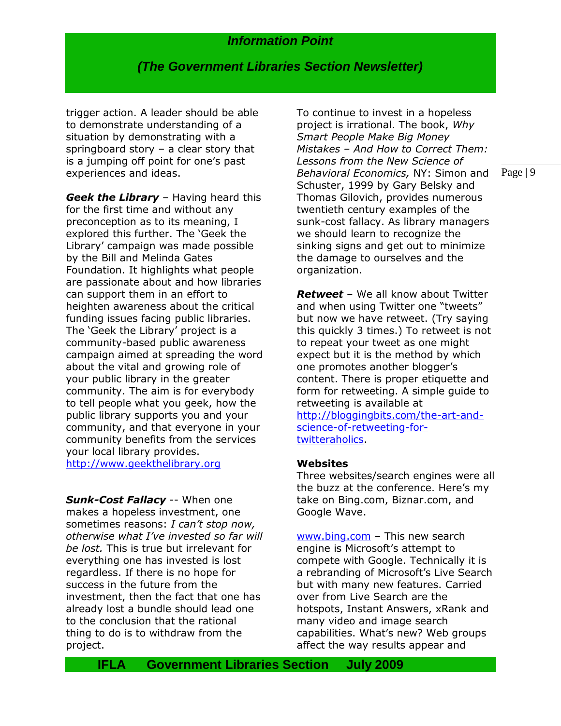*(The Government Libraries Section Newsletter)*

trigger action. A leader should be able to demonstrate understanding of a situation by demonstrating with a springboard story – a clear story that is a jumping off point for one's past experiences and ideas.

*Geek the Library* – Having heard this for the first time and without any preconception as to its meaning, I explored this further. The "Geek the Library' campaign was made possible by the Bill and Melinda Gates Foundation. It highlights what people are passionate about and how libraries can support them in an effort to heighten awareness about the critical funding issues facing public libraries. The 'Geek the Library' project is a community-based public awareness campaign aimed at spreading the word about the vital and growing role of your public library in the greater community. The aim is for everybody to tell people what you geek, how the public library supports you and your community, and that everyone in your community benefits from the services your local library provides. [http://www.geekthelibrary.org](http://www.geekthelibrary.org/)

*Sunk-Cost Fallacy* -- When one makes a hopeless investment, one sometimes reasons: *I can't stop now, otherwise what I've invested so far will be lost.* This is true but irrelevant for everything one has invested is lost regardless. If there is no hope for success in the future from the investment, then the fact that one has already lost a bundle should lead one to the conclusion that the rational thing to do is to withdraw from the project.

To continue to invest in a hopeless project is irrational. The book, *Why Smart People Make Big Money Mistakes – And How to Correct Them: Lessons from the New Science of Behavioral Economics,* NY: Simon and Schuster, 1999 by Gary Belsky and Thomas Gilovich, provides numerous twentieth century examples of the sunk-cost fallacy. As library managers we should learn to recognize the sinking signs and get out to minimize the damage to ourselves and the organization.

*Retweet* – We all know about Twitter and when using Twitter one "tweets" but now we have retweet. (Try saying this quickly 3 times.) To retweet is not to repeat your tweet as one might expect but it is the method by which one promotes another blogger"s content. There is proper etiquette and form for retweeting. A simple guide to retweeting is available at [http://bloggingbits.com/the-art-and](http://bloggingbits.com/the-art-and-science-of-retweeting-for-twitteraholics)[science-of-retweeting-for](http://bloggingbits.com/the-art-and-science-of-retweeting-for-twitteraholics)[twitteraholics.](http://bloggingbits.com/the-art-and-science-of-retweeting-for-twitteraholics)

#### **Websites**

Three websites/search engines were all the buzz at the conference. Here's my take on Bing.com, Biznar.com, and Google Wave.

[www.bing.com](http://www.bing.com/) – This new search engine is Microsoft's attempt to compete with Google. Technically it is a rebranding of Microsoft's Live Search but with many new features. Carried over from Live Search are the hotspots, Instant Answers, xRank and many video and image search capabilities. What"s new? Web groups affect the way results appear and

Page | 9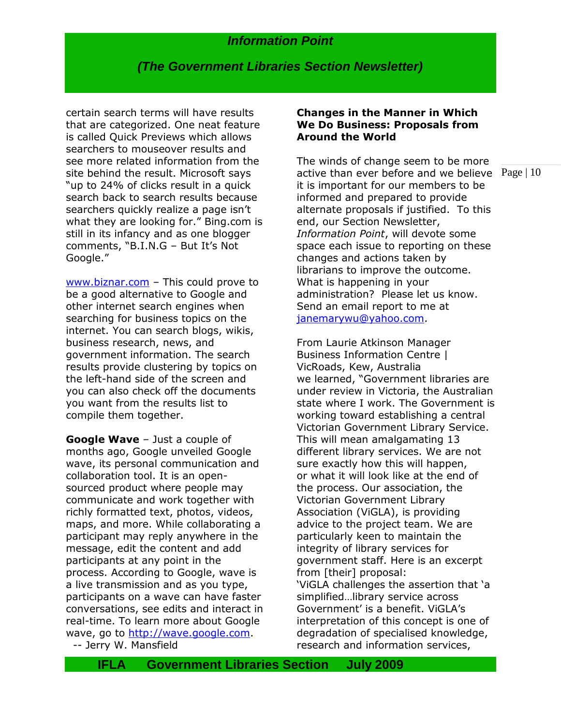## *(The Government Libraries Section Newsletter)*

certain search terms will have results that are categorized. One neat feature is called Quick Previews which allows searchers to mouseover results and see more related information from the site behind the result. Microsoft says "up to 24% of clicks result in a quick search back to search results because searchers quickly realize a page isn't what they are looking for." Bing.com is still in its infancy and as one blogger comments, "B.I.N.G - But It's Not Google."

[www.biznar.com](http://www.biznar.com/) – This could prove to be a good alternative to Google and other internet search engines when searching for business topics on the internet. You can search blogs, wikis, business research, news, and government information. The search results provide clustering by topics on the left-hand side of the screen and you can also check off the documents you want from the results list to compile them together.

**Google Wave** – Just a couple of months ago, Google unveiled Google wave, its personal communication and collaboration tool. It is an opensourced product where people may communicate and work together with richly formatted text, photos, videos, maps, and more. While collaborating a participant may reply anywhere in the message, edit the content and add participants at any point in the process. According to Google, wave is a live transmission and as you type, participants on a wave can have faster conversations, see edits and interact in real-time. To learn more about Google wave, go to [http://wave.google.com.](http://wave.google.com/) -- Jerry W. Mansfield

#### **Changes in the Manner in Which We Do Business: Proposals from Around the World**

active than ever before and we believe Page  $|10\rangle$ The winds of change seem to be more it is important for our members to be informed and prepared to provide alternate proposals if justified. To this end, our Section Newsletter, *Information Point*, will devote some space each issue to reporting on these changes and actions taken by librarians to improve the outcome. What is happening in your administration? Please let us know. Send an email report to me at [janemarywu@yahoo.com.](mailto:janemarywu@yahoo.com)

From Laurie Atkinson Manager Business Information Centre | VicRoads, Kew, Australia we learned, "Government libraries are under review in Victoria, the Australian state where I work. The Government is working toward establishing a central Victorian Government Library Service. This will mean amalgamating 13 different library services. We are not sure exactly how this will happen, or what it will look like at the end of the process. Our association, the Victorian Government Library Association (ViGLA), is providing advice to the project team. We are particularly keen to maintain the integrity of library services for government staff. Here is an excerpt from [their] proposal: "ViGLA challenges the assertion that "a simplified…library service across Government' is a benefit. ViGLA's interpretation of this concept is one of degradation of specialised knowledge, research and information services,